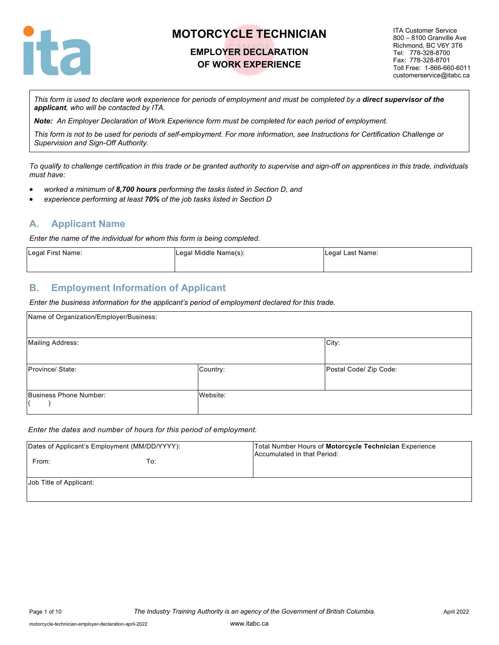

### **EMPLOYER DECLARATION OF WORK EXPERIENCE**

ITA Customer Service 800 – 8100 Granville Ave Richmond, BC V6Y 3T6 Tel: 778-328-8700 Fax: 778-328-8701 Toll Free: 1-866-660-6011 customerservice@itabc.ca

*This form is used to declare work experience for periods of employment and must be completed by a direct supervisor of the applicant, who will be contacted by ITA.*

*Note: An Employer Declaration of Work Experience form must be completed for each period of employment.*

*This form is not to be used for periods of self-employment. For more information, see Instructions for Certification Challenge or Supervision and Sign-Off Authority.*

*To qualify to challenge certification in this trade or be granted authority to supervise and sign-off on apprentices in this trade, individuals must have:*

- *worked a minimum of 8,700 hours performing the tasks listed in Section D, and*
- *experience performing at least 70% of the job tasks listed in Section D*

### **A. Applicant Name**

*Enter the name of the individual for whom this form is being completed.*

| Legal First Name: | Legal Middle Name(s): | Legal Last Name: |
|-------------------|-----------------------|------------------|
|                   |                       |                  |

### **B. Employment Information of Applicant**

*Enter the business information for the applicant's period of employment declared for this trade.*

| Name of Organization/Employer/Business: |          |                        |
|-----------------------------------------|----------|------------------------|
| <b>Mailing Address:</b>                 |          | City:                  |
| Province/ State:                        | Country: | Postal Code/ Zip Code: |
| Business Phone Number:                  | Website: |                        |

#### *Enter the dates and number of hours for this period of employment.*

| Dates of Applicant's Employment (MM/DD/YYYY): |     | Total Number Hours of Motorcycle Technician Experience<br>Accumulated in that Period: |
|-----------------------------------------------|-----|---------------------------------------------------------------------------------------|
| From:                                         | To: |                                                                                       |
| Job Title of Applicant:                       |     |                                                                                       |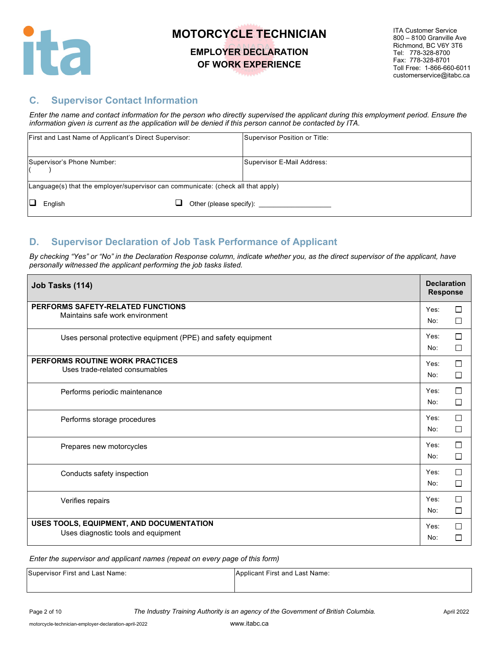

### **EMPLOYER DECLARATION OF WORK EXPERIENCE**

ITA Customer Service 800 – 8100 Granville Ave Richmond, BC V6Y 3T6 Tel: 778-328-8700 Fax: 778-328-8701 Toll Free: 1-866-660-6011 customerservice@itabc.ca

### **C. Supervisor Contact Information**

*Enter the name and contact information for the person who directly supervised the applicant during this employment period. Ensure the information given is current as the application will be denied if this person cannot be contacted by ITA.*

| First and Last Name of Applicant's Direct Supervisor:                             | Supervisor Position or Title: |
|-----------------------------------------------------------------------------------|-------------------------------|
| Supervisor's Phone Number:                                                        | Supervisor E-Mail Address:    |
| [Language(s) that the employer/supervisor can communicate: (check all that apply) |                               |
| English                                                                           | Other (please specify):       |

### **D. Supervisor Declaration of Job Task Performance of Applicant**

By checking "Yes" or "No" in the Declaration Response column, indicate whether you, as the direct supervisor of the applicant, have *personally witnessed the applicant performing the job tasks listed.* 

| Job Tasks (114)                                                                 | <b>Declaration</b><br><b>Response</b> |             |
|---------------------------------------------------------------------------------|---------------------------------------|-------------|
| PERFORMS SAFETY-RELATED FUNCTIONS<br>Maintains safe work environment            | Yes:<br>No:                           | □<br>□      |
| Uses personal protective equipment (PPE) and safety equipment                   | Yes:<br>No:                           | П<br>$\Box$ |
| PERFORMS ROUTINE WORK PRACTICES<br>Uses trade-related consumables               | Yes:<br>No:                           | П<br>□      |
| Performs periodic maintenance                                                   | Yes:<br>No:                           | П<br>П      |
| Performs storage procedures                                                     | Yes:<br>No:                           | П<br>$\Box$ |
| Prepares new motorcycles                                                        | Yes:<br>No:                           | П<br>$\Box$ |
| Conducts safety inspection                                                      | Yes:<br>No:                           | П<br>$\Box$ |
| Verifies repairs                                                                | Yes:<br>No:                           | $\Box$<br>□ |
| USES TOOLS, EQUIPMENT, AND DOCUMENTATION<br>Uses diagnostic tools and equipment | Yes:<br>No:                           | П<br>$\Box$ |

| Supervisor First and Last Name: | Applicant First and Last Name: |
|---------------------------------|--------------------------------|
|                                 |                                |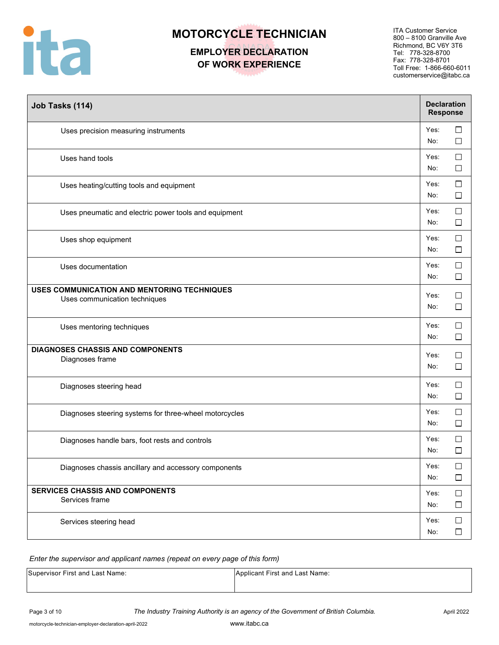

## **EMPLOYER DECLARATION OF WORK EXPERIENCE**

ITA Customer Service 800 – 8100 Granville Ave Richmond, BC V6Y 3T6 Tel: 778-328-8700 Fax: 778-328-8701 Toll Free: 1-866-660-6011 customerservice@itabc.ca

| Job Tasks (114)                                                              | <b>Declaration</b><br><b>Response</b> |                  |
|------------------------------------------------------------------------------|---------------------------------------|------------------|
| Uses precision measuring instruments                                         | Yes:<br>No:                           | $\Box$<br>$\Box$ |
| Uses hand tools                                                              | Yes:<br>No:                           | $\Box$<br>$\Box$ |
| Uses heating/cutting tools and equipment                                     | Yes:<br>No:                           | $\Box$<br>$\Box$ |
| Uses pneumatic and electric power tools and equipment                        | Yes:<br>No:                           | $\Box$<br>$\Box$ |
| Uses shop equipment                                                          | Yes:<br>No:                           | $\Box$<br>$\Box$ |
| Uses documentation                                                           | Yes:<br>No:                           | $\Box$<br>$\Box$ |
| USES COMMUNICATION AND MENTORING TECHNIQUES<br>Uses communication techniques | Yes:<br>No:                           | $\Box$<br>$\Box$ |
| Uses mentoring techniques                                                    | Yes:<br>No:                           | $\Box$<br>$\Box$ |
| <b>DIAGNOSES CHASSIS AND COMPONENTS</b><br>Diagnoses frame                   | Yes:<br>No:                           | $\Box$<br>$\Box$ |
| Diagnoses steering head                                                      | Yes:<br>No:                           | $\Box$<br>$\Box$ |
| Diagnoses steering systems for three-wheel motorcycles                       | Yes:<br>No:                           | $\Box$<br>$\Box$ |
| Diagnoses handle bars, foot rests and controls                               | Yes:<br>No:                           | $\Box$<br>$\Box$ |
| Diagnoses chassis ancillary and accessory components                         | Yes:<br>No:                           | $\Box$<br>$\Box$ |
| <b>SERVICES CHASSIS AND COMPONENTS</b><br>Services frame                     | Yes:<br>No:                           | $\Box$<br>$\Box$ |
| Services steering head                                                       | Yes:<br>No:                           | $\Box$<br>$\Box$ |

| Supervisor First and Last Name: | Applicant First and Last Name: |
|---------------------------------|--------------------------------|
|                                 |                                |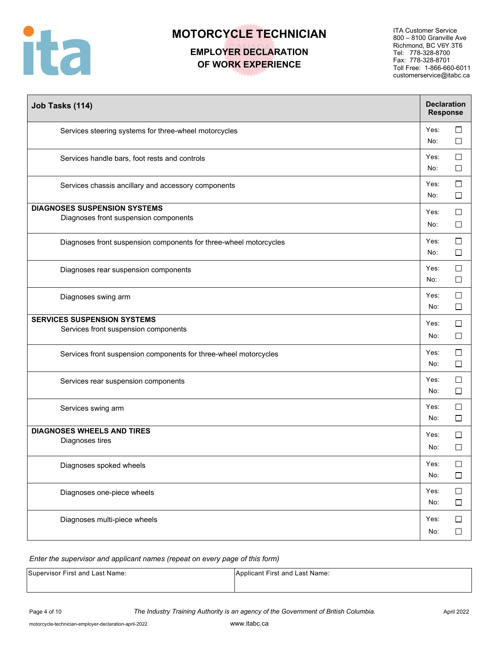

## **EMPLOYER DECLARATION OF WORK EXPERIENCE**

ITA Customer Service 800 – 8100 Granville Ave Richmond, BC V6Y 3T6 Tel: 778-328-8700 Fax: 778-328-8701 Toll Free: 1-866-660-6011 customerservice@itabc.ca

| Job Tasks (114)                                                              | <b>Declaration</b><br><b>Response</b> |                  |
|------------------------------------------------------------------------------|---------------------------------------|------------------|
| Services steering systems for three-wheel motorcycles                        | Yes:<br>No:                           | $\Box$<br>$\Box$ |
| Services handle bars, foot rests and controls                                | Yes:<br>No:                           | $\Box$<br>$\Box$ |
| Services chassis ancillary and accessory components                          | Yes:<br>No:                           | $\Box$<br>$\Box$ |
| <b>DIAGNOSES SUSPENSION SYSTEMS</b><br>Diagnoses front suspension components | Yes:<br>No:                           | $\Box$<br>$\Box$ |
| Diagnoses front suspension components for three-wheel motorcycles            | Yes:<br>No:                           | □<br>$\Box$      |
| Diagnoses rear suspension components                                         | Yes:<br>No:                           | $\Box$<br>$\Box$ |
| Diagnoses swing arm                                                          | Yes:<br>No:                           | $\Box$<br>$\Box$ |
| <b>SERVICES SUSPENSION SYSTEMS</b><br>Services front suspension components   | Yes:<br>No:                           | $\Box$<br>$\Box$ |
| Services front suspension components for three-wheel motorcycles             | Yes:<br>No:                           | $\Box$<br>$\Box$ |
| Services rear suspension components                                          | Yes:<br>No:                           | $\Box$<br>$\Box$ |
| Services swing arm                                                           | Yes:<br>No:                           | $\Box$<br>$\Box$ |
| <b>DIAGNOSES WHEELS AND TIRES</b><br>Diagnoses tires                         | Yes:<br>No:                           | □<br>$\Box$      |
| Diagnoses spoked wheels                                                      | Yes:<br>No:                           | $\Box$<br>$\Box$ |
| Diagnoses one-piece wheels                                                   | Yes:<br>No:                           | $\Box$<br>$\Box$ |
| Diagnoses multi-piece wheels                                                 | Yes:<br>No:                           | $\Box$<br>$\Box$ |

| Supervisor First and Last Name: | Applicant First and Last Name: |
|---------------------------------|--------------------------------|
|                                 |                                |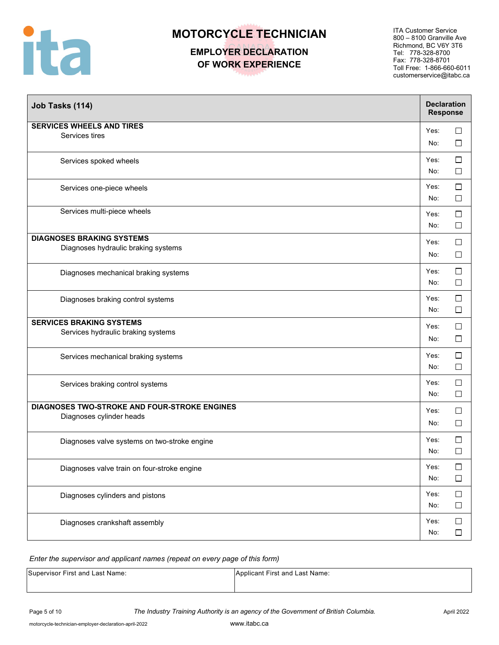

### **EMPLOYER DECLARATION OF WORK EXPERIENCE**

ITA Customer Service 800 – 8100 Granville Ave Richmond, BC V6Y 3T6 Tel: 778-328-8700 Fax: 778-328-8701 Toll Free: 1-866-660-6011 customerservice@itabc.ca

| Job Tasks (114)                                                          | <b>Declaration</b><br><b>Response</b> |                  |
|--------------------------------------------------------------------------|---------------------------------------|------------------|
| <b>SERVICES WHEELS AND TIRES</b><br>Services tires                       | Yes:<br>No:                           | $\Box$<br>$\Box$ |
| Services spoked wheels                                                   | Yes:<br>No:                           | $\Box$<br>$\Box$ |
| Services one-piece wheels                                                | Yes:<br>No:                           | $\Box$<br>$\Box$ |
| Services multi-piece wheels                                              | Yes:<br>No:                           | $\Box$<br>$\Box$ |
| <b>DIAGNOSES BRAKING SYSTEMS</b><br>Diagnoses hydraulic braking systems  | Yes:<br>No:                           | $\Box$<br>$\Box$ |
| Diagnoses mechanical braking systems                                     | Yes:<br>No:                           | $\Box$<br>$\Box$ |
| Diagnoses braking control systems                                        | Yes:<br>No:                           | $\Box$<br>$\Box$ |
| <b>SERVICES BRAKING SYSTEMS</b><br>Services hydraulic braking systems    | Yes:<br>No:                           | $\Box$<br>$\Box$ |
| Services mechanical braking systems                                      | Yes:<br>No:                           | $\Box$<br>$\Box$ |
| Services braking control systems                                         | Yes:<br>No:                           | $\Box$<br>$\Box$ |
| DIAGNOSES TWO-STROKE AND FOUR-STROKE ENGINES<br>Diagnoses cylinder heads | Yes:<br>No:                           | $\Box$<br>$\Box$ |
| Diagnoses valve systems on two-stroke engine                             | Yes:<br>No:                           | $\Box$<br>$\Box$ |
| Diagnoses valve train on four-stroke engine                              | Yes:<br>No:                           | $\Box$<br>$\Box$ |
| Diagnoses cylinders and pistons                                          | Yes:<br>No:                           | $\Box$<br>$\Box$ |
| Diagnoses crankshaft assembly                                            | Yes:<br>No:                           | $\Box$<br>$\Box$ |

| Supervisor First and Last Name: | Applicant First and Last Name: |
|---------------------------------|--------------------------------|
|                                 |                                |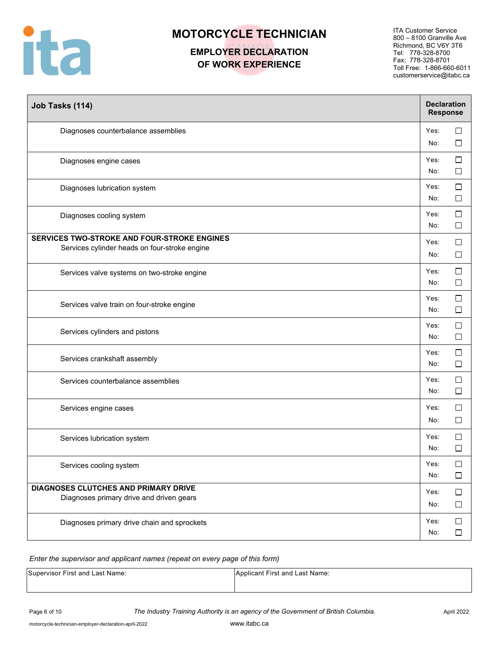

## **EMPLOYER DECLARATION OF WORK EXPERIENCE**

ITA Customer Service 800 – 8100 Granville Ave Richmond, BC V6Y 3T6 Tel: 778-328-8700 Fax: 778-328-8701 Toll Free: 1-866-660-6011 customerservice@itabc.ca

| Job Tasks (114)                                                                              | <b>Declaration</b><br><b>Response</b> |                  |
|----------------------------------------------------------------------------------------------|---------------------------------------|------------------|
| Diagnoses counterbalance assemblies                                                          | Yes:<br>No:                           | □<br>$\Box$      |
| Diagnoses engine cases                                                                       | Yes:<br>No:                           | □<br>$\Box$      |
| Diagnoses lubrication system                                                                 | Yes:<br>No:                           | □<br>$\Box$      |
| Diagnoses cooling system                                                                     | Yes:<br>No:                           | $\Box$<br>$\Box$ |
| SERVICES TWO-STROKE AND FOUR-STROKE ENGINES<br>Services cylinder heads on four-stroke engine | Yes:<br>No:                           | $\Box$<br>$\Box$ |
| Services valve systems on two-stroke engine                                                  | Yes:<br>No:                           | $\Box$<br>$\Box$ |
| Services valve train on four-stroke engine                                                   | Yes:<br>No:                           | $\Box$<br>$\Box$ |
| Services cylinders and pistons                                                               | Yes:<br>No:                           | $\Box$<br>$\Box$ |
| Services crankshaft assembly                                                                 | Yes:<br>No:                           | ⊔<br>$\Box$      |
| Services counterbalance assemblies                                                           | Yes:<br>No:                           | □<br>$\Box$      |
| Services engine cases                                                                        | Yes:<br>No:                           | $\Box$<br>$\Box$ |
| Services lubrication system                                                                  | Yes:<br>No:                           | $\Box$<br>$\Box$ |
| Services cooling system                                                                      | Yes:<br>No:                           | $\Box$<br>$\Box$ |
| DIAGNOSES CLUTCHES AND PRIMARY DRIVE<br>Diagnoses primary drive and driven gears             | Yes:<br>No:                           | $\Box$<br>$\Box$ |
| Diagnoses primary drive chain and sprockets                                                  | Yes:<br>No:                           | $\Box$<br>$\Box$ |

| Supervisor First and Last Name: | Applicant First and Last Name: |
|---------------------------------|--------------------------------|
|                                 |                                |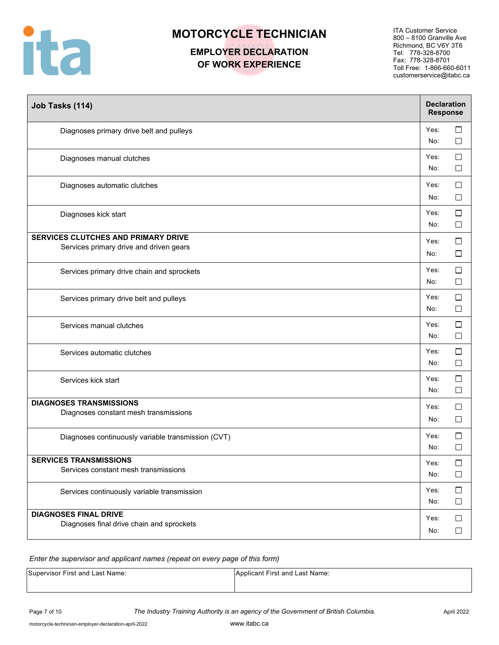

## **EMPLOYER DECLARATION OF WORK EXPERIENCE**

ITA Customer Service 800 – 8100 Granville Ave Richmond, BC V6Y 3T6 Tel: 778-328-8700 Fax: 778-328-8701 Toll Free: 1-866-660-6011 customerservice@itabc.ca

| Job Tasks (114)                                                                | <b>Declaration</b><br><b>Response</b> |                  |
|--------------------------------------------------------------------------------|---------------------------------------|------------------|
| Diagnoses primary drive belt and pulleys                                       | Yes:<br>No:                           | $\Box$<br>$\Box$ |
| Diagnoses manual clutches                                                      | Yes:<br>No:                           | $\Box$<br>$\Box$ |
| Diagnoses automatic clutches                                                   | Yes:<br>No:                           | $\Box$<br>$\Box$ |
| Diagnoses kick start                                                           | Yes:<br>No:                           | $\Box$<br>$\Box$ |
| SERVICES CLUTCHES AND PRIMARY DRIVE<br>Services primary drive and driven gears | Yes:<br>No:                           | $\Box$<br>$\Box$ |
| Services primary drive chain and sprockets                                     | Yes:<br>No:                           | $\Box$<br>$\Box$ |
| Services primary drive belt and pulleys                                        | Yes:<br>No:                           | $\Box$<br>$\Box$ |
| Services manual clutches                                                       | Yes:<br>No:                           | $\Box$<br>$\Box$ |
| Services automatic clutches                                                    | Yes:<br>No:                           | $\Box$<br>$\Box$ |
| Services kick start                                                            | Yes:<br>No:                           | $\Box$<br>$\Box$ |
| <b>DIAGNOSES TRANSMISSIONS</b><br>Diagnoses constant mesh transmissions        | Yes:<br>No:                           | $\Box$<br>$\Box$ |
| Diagnoses continuously variable transmission (CVT)                             | Yes:<br>No:                           | □<br>$\Box$      |
| <b>SERVICES TRANSMISSIONS</b><br>Services constant mesh transmissions          | Yes:<br>No:                           | $\Box$<br>$\Box$ |
| Services continuously variable transmission                                    | Yes:<br>No:                           | $\Box$<br>$\Box$ |
| <b>DIAGNOSES FINAL DRIVE</b><br>Diagnoses final drive chain and sprockets      | Yes:<br>No:                           | $\Box$<br>$\Box$ |

| Supervisor First and Last Name: | Applicant First and Last Name: |
|---------------------------------|--------------------------------|
|                                 |                                |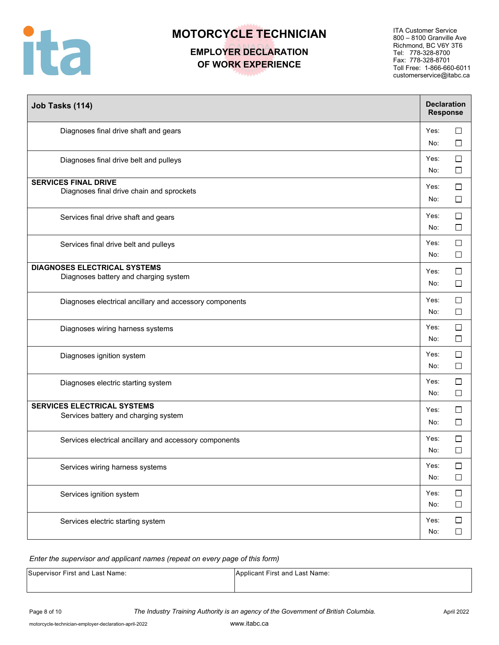

## **EMPLOYER DECLARATION OF WORK EXPERIENCE**

ITA Customer Service 800 – 8100 Granville Ave Richmond, BC V6Y 3T6 Tel: 778-328-8700 Fax: 778-328-8701 Toll Free: 1-866-660-6011 customerservice@itabc.ca

| Job Tasks (114)                                                              | <b>Declaration</b><br><b>Response</b> |                  |
|------------------------------------------------------------------------------|---------------------------------------|------------------|
| Diagnoses final drive shaft and gears                                        | Yes:<br>No:                           | $\Box$<br>$\Box$ |
| Diagnoses final drive belt and pulleys                                       | Yes:<br>No:                           | $\Box$<br>$\Box$ |
| <b>SERVICES FINAL DRIVE</b><br>Diagnoses final drive chain and sprockets     | Yes:<br>No:                           | $\Box$<br>$\Box$ |
| Services final drive shaft and gears                                         | Yes:<br>No:                           | $\Box$<br>$\Box$ |
| Services final drive belt and pulleys                                        | Yes:<br>No:                           | □<br>□           |
| <b>DIAGNOSES ELECTRICAL SYSTEMS</b><br>Diagnoses battery and charging system | Yes:<br>No:                           | $\Box$<br>$\Box$ |
| Diagnoses electrical ancillary and accessory components                      | Yes:<br>No:                           | $\Box$<br>$\Box$ |
| Diagnoses wiring harness systems                                             | Yes:<br>No:                           | $\Box$<br>$\Box$ |
| Diagnoses ignition system                                                    | Yes:<br>No:                           | $\Box$<br>$\Box$ |
| Diagnoses electric starting system                                           | Yes:<br>No:                           | $\Box$<br>$\Box$ |
| <b>SERVICES ELECTRICAL SYSTEMS</b><br>Services battery and charging system   | Yes:<br>No:                           | $\Box$<br>□      |
| Services electrical ancillary and accessory components                       | Yes:<br>No:                           | $\Box$<br>П      |
| Services wiring harness systems                                              | Yes:<br>No:                           | $\Box$<br>$\Box$ |
| Services ignition system                                                     | Yes:<br>No:                           | $\Box$<br>$\Box$ |
| Services electric starting system                                            | Yes:<br>No:                           | $\Box$<br>$\Box$ |

| Supervisor First and Last Name: | Applicant First and Last Name: |
|---------------------------------|--------------------------------|
|                                 |                                |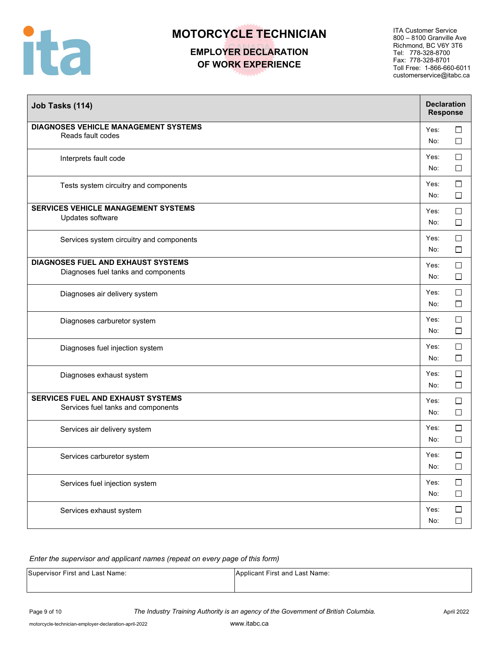

## **EMPLOYER DECLARATION OF WORK EXPERIENCE**

ITA Customer Service 800 – 8100 Granville Ave Richmond, BC V6Y 3T6 Tel: 778-328-8700 Fax: 778-328-8701 Toll Free: 1-866-660-6011 customerservice@itabc.ca

| Job Tasks (114)                                                           | <b>Declaration</b><br><b>Response</b> |                  |
|---------------------------------------------------------------------------|---------------------------------------|------------------|
| <b>DIAGNOSES VEHICLE MANAGEMENT SYSTEMS</b><br>Reads fault codes          | Yes:<br>No:                           | $\Box$<br>$\Box$ |
| Interprets fault code                                                     | Yes:<br>No:                           | $\Box$<br>$\Box$ |
| Tests system circuitry and components                                     | Yes:<br>No:                           | $\Box$<br>$\Box$ |
| <b>SERVICES VEHICLE MANAGEMENT SYSTEMS</b><br>Updates software            | Yes:<br>No:                           | □<br>$\Box$      |
| Services system circuitry and components                                  | Yes:<br>No:                           | $\Box$<br>$\Box$ |
| DIAGNOSES FUEL AND EXHAUST SYSTEMS<br>Diagnoses fuel tanks and components | Yes:<br>No:                           | $\Box$<br>$\Box$ |
| Diagnoses air delivery system                                             | Yes:<br>No:                           | $\Box$<br>$\Box$ |
| Diagnoses carburetor system                                               | Yes:<br>No:                           | $\Box$<br>$\Box$ |
| Diagnoses fuel injection system                                           | Yes:<br>No:                           | $\Box$<br>$\Box$ |
| Diagnoses exhaust system                                                  | Yes:<br>No:                           | $\Box$<br>$\Box$ |
| SERVICES FUEL AND EXHAUST SYSTEMS<br>Services fuel tanks and components   | Yes:<br>No:                           | $\Box$<br>$\Box$ |
| Services air delivery system                                              | Yes:<br>No:                           | $\Box$<br>$\Box$ |
| Services carburetor system                                                | Yes:<br>No:                           | $\Box$<br>$\Box$ |
| Services fuel injection system                                            | Yes:<br>No:                           | $\Box$<br>$\Box$ |
| Services exhaust system                                                   | Yes:<br>No:                           | $\Box$<br>$\Box$ |

| Supervisor First and Last Name: | Applicant First and Last Name: |
|---------------------------------|--------------------------------|
|                                 |                                |